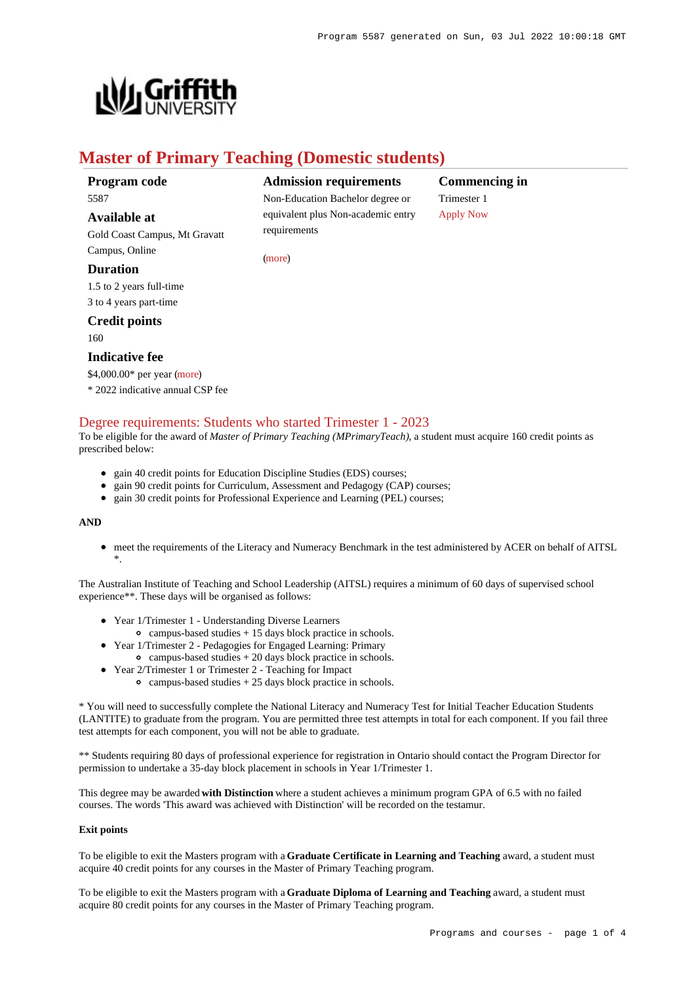

# **Master of Primary Teaching (Domestic students)**

[\(more](https://www148.griffith.edu.au/programs-courses/Program/5587/HowToApply/Domestic#can-i-apply))

# **Program code** 5587

# **Available at**

Gold Coast Campus, Mt Gravatt Campus, Online

# **Duration**

1.5 to 2 years full-time 3 to 4 years part-time

# **Credit points**

160

# **Indicative fee**

\$4,000.00\* per year [\(more](https://www148.griffith.edu.au/programs-courses/Program/5587/Overview/Domestic#fees)) \* 2022 indicative annual CSP fee

# [Degree requirements: Students who started Trimester 1 - 2023](https://www148.griffith.edu.au/programs-courses/Program/5587/Courses/Domestic#degree-requirements)

To be eligible for the award of *Master of Primary Teaching (MPrimaryTeach)*, a student must acquire 160 credit points as prescribed below:

- gain 40 credit points for Education Discipline Studies (EDS) courses;
- gain 90 credit points for Curriculum, Assessment and Pedagogy (CAP) courses;
- gain 30 credit points for Professional Experience and Learning (PEL) courses;

### **AND**

meet the requirements of the Literacy and Numeracy Benchmark in the test administered by ACER on behalf of AITSL \*.

The Australian Institute of Teaching and School Leadership (AITSL) requires a minimum of 60 days of supervised school experience\*\*. These days will be organised as follows:

- Year 1/Trimester 1 Understanding Diverse Learners
- campus-based studies  $+ 15$  days block practice in schools.
- Year 1/Trimester 2 Pedagogies for Engaged Learning: Primary
	- $\circ$  campus-based studies  $+ 20$  days block practice in schools.
- Year 2/Trimester 1 or Trimester 2 Teaching for Impact
	- $\circ$  campus-based studies  $+ 25$  days block practice in schools.

\* You will need to successfully complete the National Literacy and Numeracy Test for Initial Teacher Education Students (LANTITE) to graduate from the program. You are permitted three test attempts in total for each component. If you fail three test attempts for each component, you will not be able to graduate.

\*\* Students requiring 80 days of professional experience for registration in Ontario should contact the Program Director for permission to undertake a 35-day block placement in schools in Year 1/Trimester 1.

This degree may be awarded **with Distinction** where a student achieves a minimum program GPA of 6.5 with no failed courses. The words 'This award was achieved with Distinction' will be recorded on the testamur.

### **Exit points**

To be eligible to exit the Masters program with a **Graduate Certificate in Learning and Teaching** award, a student must acquire 40 credit points for any courses in the Master of Primary Teaching program.

To be eligible to exit the Masters program with a **Graduate Diploma of Learning and Teaching** award, a student must acquire 80 credit points for any courses in the Master of Primary Teaching program.



**Commencing in** Trimester 1 [Apply Now](https://www148.griffith.edu.au/programs-courses/Program/5587/HowToApply/Domestic#process)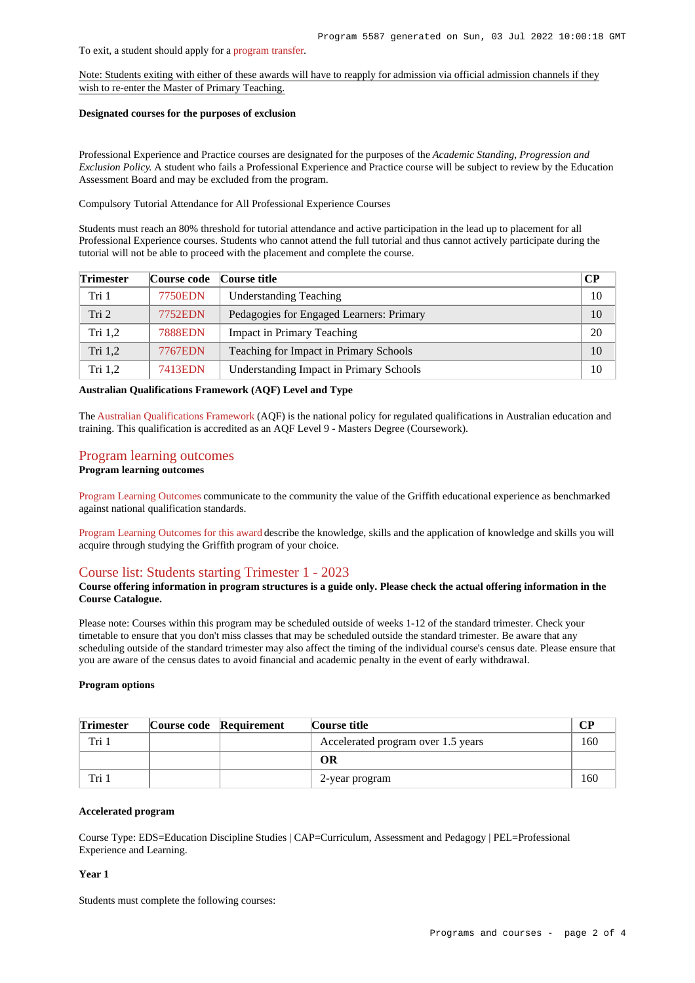#### To exit, a student should apply for a [program transfer](https://www188.griffith.edu.au/internal-transfer).

Note: Students exiting with either of these awards will have to reapply for admission via official admission channels if they wish to re-enter the Master of Primary Teaching.

### **Designated courses for the purposes of exclusion**

Professional Experience and Practice courses are designated for the purposes of the *Academic Standing, Progression and Exclusion Policy*. A student who fails a Professional Experience and Practice course will be subject to review by the Education Assessment Board and may be excluded from the program.

Compulsory Tutorial Attendance for All Professional Experience Courses

Students must reach an 80% threshold for tutorial attendance and active participation in the lead up to placement for all Professional Experience courses. Students who cannot attend the full tutorial and thus cannot actively participate during the tutorial will not be able to proceed with the placement and complete the course.

| <b>Trimester</b> | Course code    | Course title                             | $\bf CP$ |
|------------------|----------------|------------------------------------------|----------|
| Tri 1            | 7750EDN        | <b>Understanding Teaching</b>            | 10       |
| Tri <sub>2</sub> | <b>7752EDN</b> | Pedagogies for Engaged Learners: Primary | 10       |
| Tri $1,2$        | <b>7888EDN</b> | <b>Impact in Primary Teaching</b>        | 20       |
| Tri 1,2          | <b>7767EDN</b> | Teaching for Impact in Primary Schools   | 10       |
| Tri $1,2$        | <b>7413EDN</b> | Understanding Impact in Primary Schools  | 10       |

**Australian Qualifications Framework (AQF) Level and Type**

The [Australian Qualifications Framework](http://www.aqf.edu.au/) (AQF) is the national policy for regulated qualifications in Australian education and training. This qualification is accredited as an AQF Level 9 - Masters Degree (Coursework).

# [Program learning outcomes](https://www148.griffith.edu.au/programs-courses/Program/5587/Courses/Domestic#programLearningOutcomes)

# **Program learning outcomes**

[Program Learning Outcomes](https://www.griffith.edu.au/__data/assets/pdf_file/0017/134522/PLO-general-advice.pdf) communicate to the community the value of the Griffith educational experience as benchmarked against national qualification standards.

[Program Learning Outcomes for this award](https://www.griffith.edu.au/__data/assets/pdf_file/0020/513713/M-Primary-Teaching-PLO-L9.pdf) describe the knowledge, skills and the application of knowledge and skills you will acquire through studying the Griffith program of your choice.

### [Course list: Students starting Trimester 1 - 2023](https://www148.griffith.edu.au/programs-courses/Program/5587/Courses/Domestic#course-list-content)

### **Course offering information in program structures is a guide only. Please check the actual offering information in the Course Catalogue.**

Please note: Courses within this program may be scheduled outside of weeks 1-12 of the standard trimester. Check your timetable to ensure that you don't miss classes that may be scheduled outside the standard trimester. Be aware that any scheduling outside of the standard trimester may also affect the timing of the individual course's census date. Please ensure that you are aware of the census dates to avoid financial and academic penalty in the event of early withdrawal.

### **Program options**

| <b>Trimester</b> | Course code Requirement | Course title                       | <b>CP</b> |
|------------------|-------------------------|------------------------------------|-----------|
| Tri              |                         | Accelerated program over 1.5 years | 160       |
|                  |                         | OR                                 |           |
| Tri i            |                         | 2-year program                     | 160       |

### **Accelerated program**

Course Type: EDS=Education Discipline Studies | CAP=Curriculum, Assessment and Pedagogy | PEL=Professional Experience and Learning.

### **Year 1**

Students must complete the following courses: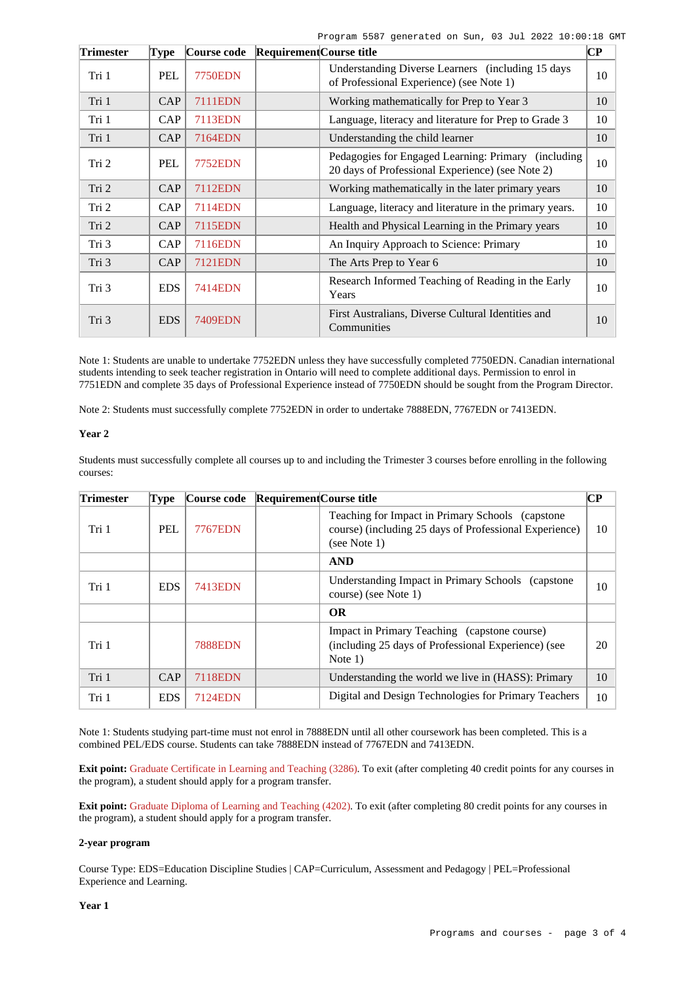Program 5587 generated on Sun, 03 Jul 2022 10:00:18 GMT

| <b>Trimester</b> | <b>Type</b> | Course code    | <b>Requirement</b> Course title |                                                                                                          | $\overline{\mathbf{C}\mathbf{P}}$ |
|------------------|-------------|----------------|---------------------------------|----------------------------------------------------------------------------------------------------------|-----------------------------------|
| Tri 1            | <b>PEL</b>  | <b>7750EDN</b> |                                 | Understanding Diverse Learners (including 15 days)<br>of Professional Experience) (see Note 1)           | 10                                |
| Tri 1            | CAP         | <b>7111EDN</b> |                                 | Working mathematically for Prep to Year 3                                                                | 10                                |
| Tri 1            | <b>CAP</b>  | <b>7113EDN</b> |                                 | Language, literacy and literature for Prep to Grade 3                                                    | 10                                |
| Tri 1            | CAP         | 7164EDN        |                                 | Understanding the child learner                                                                          | 10                                |
| Tri 2            | PEL         | 7752EDN        |                                 | Pedagogies for Engaged Learning: Primary (including)<br>20 days of Professional Experience) (see Note 2) | 10                                |
| Tri 2            | CAP         | 7112EDN        |                                 | Working mathematically in the later primary years                                                        | 10                                |
| Tri 2            | CAP         | <b>7114EDN</b> |                                 | Language, literacy and literature in the primary years.                                                  | 10                                |
| Tri 2            | <b>CAP</b>  | 7115EDN        |                                 | Health and Physical Learning in the Primary years                                                        | 10                                |
| Tri 3            | CAP         | 7116EDN        |                                 | An Inquiry Approach to Science: Primary                                                                  | 10                                |
| Tri 3            | CAP         | 7121EDN        |                                 | The Arts Prep to Year 6                                                                                  | 10                                |
| Tri 3            | <b>EDS</b>  | 7414EDN        |                                 | Research Informed Teaching of Reading in the Early<br>Years                                              | 10                                |
| Tri 3            | <b>EDS</b>  | 7409EDN        |                                 | First Australians, Diverse Cultural Identities and<br>Communities                                        | 10                                |

Note 1: Students are unable to undertake 7752EDN unless they have successfully completed 7750EDN. Canadian international students intending to seek teacher registration in Ontario will need to complete additional days. Permission to enrol in 7751EDN and complete 35 days of Professional Experience instead of 7750EDN should be sought from the Program Director.

Note 2: Students must successfully complete 7752EDN in order to undertake 7888EDN, 7767EDN or 7413EDN.

### **Year 2**

Students must successfully complete all courses up to and including the Trimester 3 courses before enrolling in the following courses:

| <b>Trimester</b> | Type       | Course code    | Requirement Course title |                                                                                                                                | CР |
|------------------|------------|----------------|--------------------------|--------------------------------------------------------------------------------------------------------------------------------|----|
| Tri 1            | <b>PEL</b> | <b>7767EDN</b> |                          | Teaching for Impact in Primary Schools (capstone)<br>course) (including 25 days of Professional Experience)<br>(see Note $1$ ) | 10 |
|                  |            |                |                          | <b>AND</b>                                                                                                                     |    |
| Tri 1            | <b>EDS</b> | <b>7413EDN</b> |                          | Understanding Impact in Primary Schools (capstone)<br>course) (see Note 1)                                                     | 10 |
|                  |            |                |                          | <b>OR</b>                                                                                                                      |    |
| Tri 1            |            | <b>7888EDN</b> |                          | Impact in Primary Teaching (capstone course)<br>(including 25 days of Professional Experience) (see<br>Note $1)$               | 20 |
| Tri 1            | CAP        | <b>7118EDN</b> |                          | Understanding the world we live in (HASS): Primary                                                                             | 10 |
| Tri 1            | <b>EDS</b> | 7124EDN        |                          | Digital and Design Technologies for Primary Teachers                                                                           | 10 |

Note 1: Students studying part-time must not enrol in 7888EDN until all other coursework has been completed. This is a combined PEL/EDS course. Students can take 7888EDN instead of 7767EDN and 7413EDN.

**Exit point:** [Graduate Certificate in Learning and Teaching \(3286\)](https://www148.griffith.edu.au/Search/Results?SearchText=3286). To exit (after completing 40 credit points for any courses in the program), a student should apply for a program transfer.

**Exit point:** [Graduate Diploma of Learning and Teaching \(4202\)](https://www148.griffith.edu.au/Search/Results?SearchText=4202). To exit (after completing 80 credit points for any courses in the program), a student should apply for a program transfer.

### **2-year program**

Course Type: EDS=Education Discipline Studies | CAP=Curriculum, Assessment and Pedagogy | PEL=Professional Experience and Learning.

**Year 1**